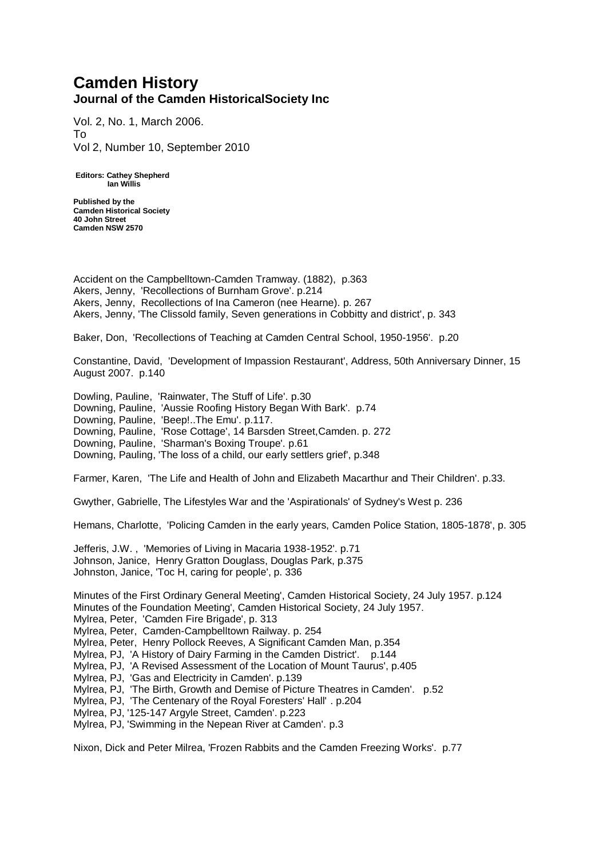## **Camden History Journal of the Camden HistoricalSociety Inc**

Vol. 2, No. 1, March 2006. To Vol 2, Number 10, September 2010

**Editors: Cathey Shepherd Ian Willis**

**Published by the Camden Historical Society 40 John Street Camden NSW 2570**

Accident on the Campbelltown-Camden Tramway. (1882), p.363 Akers, Jenny, 'Recollections of Burnham Grove'. p.214 Akers, Jenny, Recollections of Ina Cameron (nee Hearne). p. 267 Akers, Jenny, 'The Clissold family, Seven generations in Cobbitty and district', p. 343

Baker, Don, 'Recollections of Teaching at Camden Central School, 1950-1956'. p.20

Constantine, David, 'Development of Impassion Restaurant', Address, 50th Anniversary Dinner, 15 August 2007. p.140

Dowling, Pauline, 'Rainwater, The Stuff of Life'. p.30 Downing, Pauline, 'Aussie Roofing History Began With Bark'. p.74 Downing, Pauline, 'Beep!..The Emu'. p.117. Downing, Pauline, 'Rose Cottage', 14 Barsden Street,Camden. p. 272 Downing, Pauline, 'Sharman's Boxing Troupe'. p.61 Downing, Pauling, 'The loss of a child, our early settlers grief', p.348

Farmer, Karen, 'The Life and Health of John and Elizabeth Macarthur and Their Children'. p.33.

Gwyther, Gabrielle, The Lifestyles War and the 'Aspirationals' of Sydney's West p. 236

Hemans, Charlotte, 'Policing Camden in the early years, Camden Police Station, 1805-1878', p. 305

Jefferis, J.W. , 'Memories of Living in Macaria 1938-1952'. p.71 Johnson, Janice, Henry Gratton Douglass, Douglas Park, p.375 Johnston, Janice, 'Toc H, caring for people', p. 336

Minutes of the First Ordinary General Meeting', Camden Historical Society, 24 July 1957. p.124 Minutes of the Foundation Meeting', Camden Historical Society, 24 July 1957.

- Mylrea, Peter, 'Camden Fire Brigade', p. 313
- Mylrea, Peter, Camden-Campbelltown Railway. p. 254

Mylrea, Peter, Henry Pollock Reeves, A Significant Camden Man, p.354

Mylrea, PJ, 'A History of Dairy Farming in the Camden District'. p.144

- Mylrea, PJ, 'A Revised Assessment of the Location of Mount Taurus', p.405
- Mylrea, PJ, 'Gas and Electricity in Camden'. p.139
- Mylrea, PJ, 'The Birth, Growth and Demise of Picture Theatres in Camden'. p.52
- Mylrea, PJ, 'The Centenary of the Royal Foresters' Hall' . p.204

Mylrea, PJ, '125-147 Argyle Street, Camden'. p.223

Mylrea, PJ, 'Swimming in the Nepean River at Camden'. p.3

Nixon, Dick and Peter Milrea, 'Frozen Rabbits and the Camden Freezing Works'. p.77